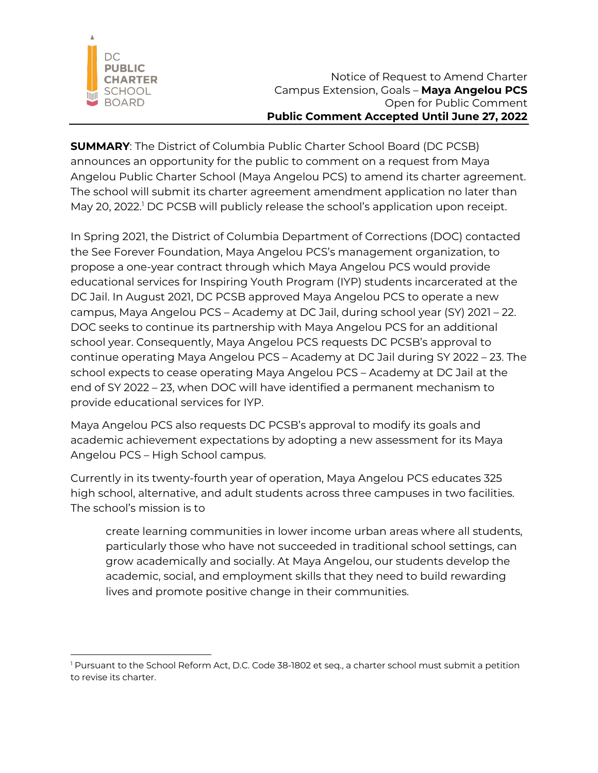

**SUMMARY**: The District of Columbia Public Charter School Board (DC PCSB) announces an opportunity for the public to comment on a request from Maya Angelou Public Charter School (Maya Angelou PCS) to amend its charter agreement. The school will submit its charter agreement amendment application no later than May 20, 2022.<sup>1</sup> DC PCSB will publicly release the school's application upon receipt.

In Spring 2021, the District of Columbia Department of Corrections (DOC) contacted the See Forever Foundation, Maya Angelou PCS's management organization, to propose a one-year contract through which Maya Angelou PCS would provide educational services for Inspiring Youth Program (IYP) students incarcerated at the DC Jail. In August 2021, DC PCSB approved Maya Angelou PCS to operate a new campus, Maya Angelou PCS – Academy at DC Jail, during school year (SY) 2021 – 22. DOC seeks to continue its partnership with Maya Angelou PCS for an additional school year. Consequently, Maya Angelou PCS requests DC PCSB's approval to continue operating Maya Angelou PCS – Academy at DC Jail during SY 2022 – 23. The school expects to cease operating Maya Angelou PCS – Academy at DC Jail at the end of SY 2022 – 23, when DOC will have identified a permanent mechanism to provide educational services for IYP.

Maya Angelou PCS also requests DC PCSB's approval to modify its goals and academic achievement expectations by adopting a new assessment for its Maya Angelou PCS – High School campus.

Currently in its twenty-fourth year of operation, Maya Angelou PCS educates 325 high school, alternative, and adult students across three campuses in two facilities. The school's mission is to

create learning communities in lower income urban areas where all students, particularly those who have not succeeded in traditional school settings, can grow academically and socially. At Maya Angelou, our students develop the academic, social, and employment skills that they need to build rewarding lives and promote positive change in their communities.

<sup>&</sup>lt;sup>1</sup> Pursuant to the School Reform Act, D.C. Code 38-1802 et seq., a charter school must submit a petition to revise its charter.